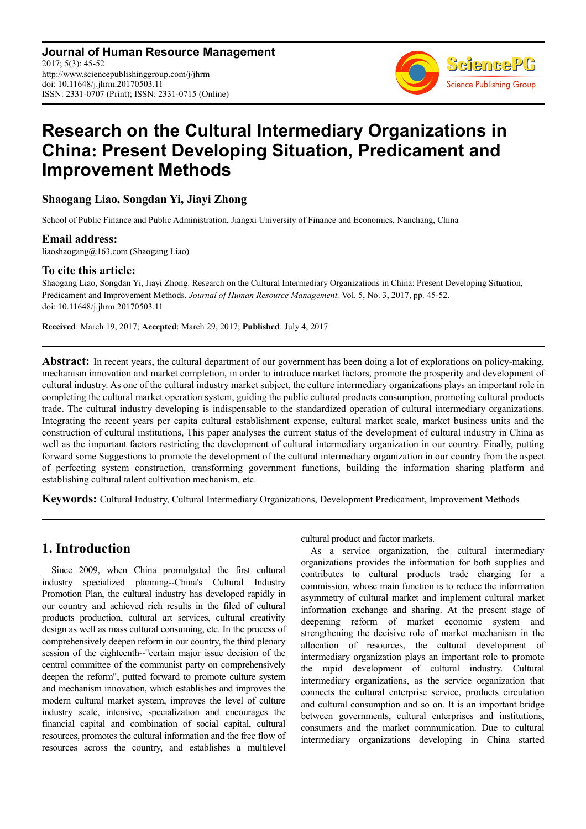**Journal of Human Resource Management** 2017; 5(3): 45-52 http://www.sciencepublishinggroup.com/j/jhrm doi: 10.11648/j.jhrm.20170503.11 ISSN: 2331-0707 (Print); ISSN: 2331-0715 (Online)



# **Research on the Cultural Intermediary Organizations in China: Present Developing Situation, Predicament and Improvement Methods**

#### **Shaogang Liao, Songdan Yi, Jiayi Zhong**

School of Public Finance and Public Administration, Jiangxi University of Finance and Economics, Nanchang, China

#### **Email address:**

liaoshaogang@163.com (Shaogang Liao)

#### **To cite this article:**

Shaogang Liao, Songdan Yi, Jiayi Zhong. Research on the Cultural Intermediary Organizations in China: Present Developing Situation, Predicament and Improvement Methods. *Journal of Human Resource Management.* Vol. 5, No. 3, 2017, pp. 45-52. doi: 10.11648/j.jhrm.20170503.11

**Received**: March 19, 2017; **Accepted**: March 29, 2017; **Published**: July 4, 2017

**Abstract:** In recent years, the cultural department of our government has been doing a lot of explorations on policy-making, mechanism innovation and market completion, in order to introduce market factors, promote the prosperity and development of cultural industry. As one of the cultural industry market subject, the culture intermediary organizations plays an important role in completing the cultural market operation system, guiding the public cultural products consumption, promoting cultural products trade. The cultural industry developing is indispensable to the standardized operation of cultural intermediary organizations. Integrating the recent years per capita cultural establishment expense, cultural market scale, market business units and the construction of cultural institutions, This paper analyses the current status of the development of cultural industry in China as well as the important factors restricting the development of cultural intermediary organization in our country. Finally, putting forward some Suggestions to promote the development of the cultural intermediary organization in our country from the aspect of perfecting system construction, transforming government functions, building the information sharing platform and establishing cultural talent cultivation mechanism, etc.

**Keywords:** Cultural Industry, Cultural Intermediary Organizations, Development Predicament, Improvement Methods

### **1. Introduction**

Since 2009, when China promulgated the first cultural industry specialized planning--China's Cultural Industry Promotion Plan, the cultural industry has developed rapidly in our country and achieved rich results in the filed of cultural products production, cultural art services, cultural creativity design as well as mass cultural consuming, etc. In the process of comprehensively deepen reform in our country, the third plenary session of the eighteenth--"certain major issue decision of the central committee of the communist party on comprehensively deepen the reform", putted forward to promote culture system and mechanism innovation, which establishes and improves the modern cultural market system, improves the level of culture industry scale, intensive, specialization and encourages the financial capital and combination of social capital, cultural resources, promotes the cultural information and the free flow of resources across the country, and establishes a multilevel

cultural product and factor markets.

As a service organization, the cultural intermediary organizations provides the information for both supplies and contributes to cultural products trade charging for a commission, whose main function is to reduce the information asymmetry of cultural market and implement cultural market information exchange and sharing. At the present stage of deepening reform of market economic system and strengthening the decisive role of market mechanism in the allocation of resources, the cultural development of intermediary organization plays an important role to promote the rapid development of cultural industry. Cultural intermediary organizations, as the service organization that connects the cultural enterprise service, products circulation and cultural consumption and so on. It is an important bridge between governments, cultural enterprises and institutions, consumers and the market communication. Due to cultural intermediary organizations developing in China started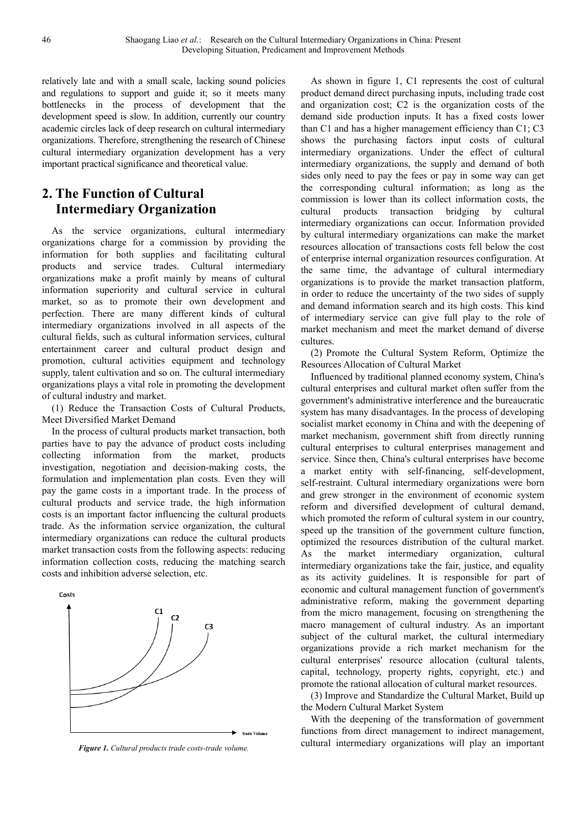relatively late and with a small scale, lacking sound policies and regulations to support and guide it; so it meets many bottlenecks in the process of development that the development speed is slow. In addition, currently our country academic circles lack of deep research on cultural intermediary organizations. Therefore, strengthening the research of Chinese cultural intermediary organization development has a very important practical significance and theoretical value.

# **2. The Function of Cultural Intermediary Organization**

As the service organizations, cultural intermediary organizations charge for a commission by providing the information for both supplies and facilitating cultural products and service trades. Cultural intermediary organizations make a profit mainly by means of cultural information superiority and cultural service in cultural market, so as to promote their own development and perfection. There are many different kinds of cultural intermediary organizations involved in all aspects of the cultural fields, such as cultural information services, cultural entertainment career and cultural product design and promotion, cultural activities equipment and technology supply, talent cultivation and so on. The cultural intermediary organizations plays a vital role in promoting the development of cultural industry and market.

(1) Reduce the Transaction Costs of Cultural Products, Meet Diversified Market Demand

In the process of cultural products market transaction, both parties have to pay the advance of product costs including collecting information from the market, products investigation, negotiation and decision-making costs, the formulation and implementation plan costs. Even they will pay the game costs in a important trade. In the process of cultural products and service trade, the high information costs is an important factor influencing the cultural products trade. As the information service organization, the cultural intermediary organizations can reduce the cultural products market transaction costs from the following aspects: reducing information collection costs, reducing the matching search costs and inhibition adverse selection, etc.



*Figure 1. Cultural products trade costs-trade volume.* 

As shown in figure 1, C1 represents the cost of cultural product demand direct purchasing inputs, including trade cost and organization cost; C2 is the organization costs of the demand side production inputs. It has a fixed costs lower than C1 and has a higher management efficiency than C1; C3 shows the purchasing factors input costs of cultural intermediary organizations. Under the effect of cultural intermediary organizations, the supply and demand of both sides only need to pay the fees or pay in some way can get the corresponding cultural information; as long as the commission is lower than its collect information costs, the cultural products transaction bridging by cultural intermediary organizations can occur. Information provided by cultural intermediary organizations can make the market resources allocation of transactions costs fell below the cost of enterprise internal organization resources configuration. At the same time, the advantage of cultural intermediary organizations is to provide the market transaction platform, in order to reduce the uncertainty of the two sides of supply and demand information search and its high costs. This kind of intermediary service can give full play to the role of market mechanism and meet the market demand of diverse cultures.

(2) Promote the Cultural System Reform, Optimize the Resources Allocation of Cultural Market

Influenced by traditional planned economy system, China's cultural enterprises and cultural market often suffer from the government's administrative interference and the bureaucratic system has many disadvantages. In the process of developing socialist market economy in China and with the deepening of market mechanism, government shift from directly running cultural enterprises to cultural enterprises management and service. Since then, China's cultural enterprises have become a market entity with self-financing, self-development, self-restraint. Cultural intermediary organizations were born and grew stronger in the environment of economic system reform and diversified development of cultural demand, which promoted the reform of cultural system in our country, speed up the transition of the government culture function, optimized the resources distribution of the cultural market. As the market intermediary organization, cultural intermediary organizations take the fair, justice, and equality as its activity guidelines. It is responsible for part of economic and cultural management function of government's administrative reform, making the government departing from the micro management, focusing on strengthening the macro management of cultural industry. As an important subject of the cultural market, the cultural intermediary organizations provide a rich market mechanism for the cultural enterprises' resource allocation (cultural talents, capital, technology, property rights, copyright, etc.) and promote the rational allocation of cultural market resources.

(3) Improve and Standardize the Cultural Market, Build up the Modern Cultural Market System

With the deepening of the transformation of government functions from direct management to indirect management, cultural intermediary organizations will play an important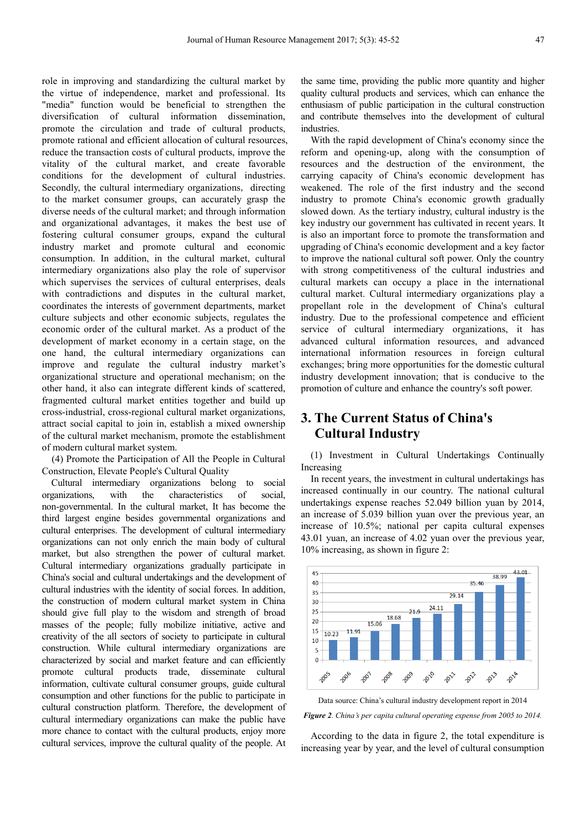role in improving and standardizing the cultural market by the virtue of independence, market and professional. Its "media" function would be beneficial to strengthen the diversification of cultural information dissemination promote the circulation and trade of cultural products, promote rational and efficient allocation of cultural resources, reduce the transaction costs of cultural products, improve the vitality of the cultural market, and create favorable conditions for the development of cultural industries. Secondly, the cultural intermediary organizations, directing to the market consumer groups, can accurately grasp the diverse needs of the cultural market; and through information and organizational advantages, it makes the best use of fostering cultural consumer groups, expand the cultural industry market and promote cultural and economic consumption. In addition, in the cultural market, cultural intermediary organizations also play the role of supervisor which supervises the services of cultural enterprises, deals with contradictions and disputes in the cultural market, coordinates the interests of government departments, market culture subjects and other economic subjects, regulates the economic order of the cultural market. As a product of the development of market economy in a certain stage, on the one hand, the cultural intermediary organizations can improve and regulate the cultural industry market's organizational structure and operational mechanism; on the other hand, it also can integrate different kinds of scattered, fragmented cultural market entities together and build up cross-industrial, cross-regional cultural market organizations, attract social capital to join in, establish a mixed ownership of the cultural market mechanism, promote the establishment of modern cultural market system.

(4) Promote the Participation of All the People in Cultural Construction, Elevate People's Cultural Quality

Cultural intermediary organizations belong to social organizations, with the characteristics of social, non-governmental. In the cultural market, It has become the third largest engine besides governmental organizations and cultural enterprises. The development of cultural intermediary organizations can not only enrich the main body of cultural market, but also strengthen the power of cultural market. Cultural intermediary organizations gradually participate in China's social and cultural undertakings and the development of cultural industries with the identity of social forces. In addition, the construction of modern cultural market system in China should give full play to the wisdom and strength of broad masses of the people; fully mobilize initiative, active and creativity of the all sectors of society to participate in cultural construction. While cultural intermediary organizations are characterized by social and market feature and can efficiently promote cultural products trade, disseminate cultural information, cultivate cultural consumer groups, guide cultural consumption and other functions for the public to participate in cultural construction platform. Therefore, the development of cultural intermediary organizations can make the public have more chance to contact with the cultural products, enjoy more cultural services, improve the cultural quality of the people. At the same time, providing the public more quantity and higher quality cultural products and services, which can enhance the enthusiasm of public participation in the cultural construction and contribute themselves into the development of cultural industries.

With the rapid development of China's economy since the reform and opening-up, along with the consumption of resources and the destruction of the environment, the carrying capacity of China's economic development has weakened. The role of the first industry and the second industry to promote China's economic growth gradually slowed down. As the tertiary industry, cultural industry is the key industry our government has cultivated in recent years. It is also an important force to promote the transformation and upgrading of China's economic development and a key factor to improve the national cultural soft power. Only the country with strong competitiveness of the cultural industries and cultural markets can occupy a place in the international cultural market. Cultural intermediary organizations play a propellant role in the development of China's cultural industry. Due to the professional competence and efficient service of cultural intermediary organizations, it has advanced cultural information resources, and advanced international information resources in foreign cultural exchanges; bring more opportunities for the domestic cultural industry development innovation; that is conducive to the promotion of culture and enhance the country's soft power.

# **3. The Current Status of China's Cultural Industry**

(1) Investment in Cultural Undertakings Continually Increasing

In recent years, the investment in cultural undertakings has increased continually in our country. The national cultural undertakings expense reaches 52.049 billion yuan by 2014, an increase of 5.039 billion yuan over the previous year, an increase of 10.5%; national per capita cultural expenses 43.01 yuan, an increase of 4.02 yuan over the previous year, 10% increasing, as shown in figure 2:



Data source: China's cultural industry development report in 2014 *Figure 2. China's per capita cultural operating expense from 2005 to 2014.* 

According to the data in figure 2, the total expenditure is increasing year by year, and the level of cultural consumption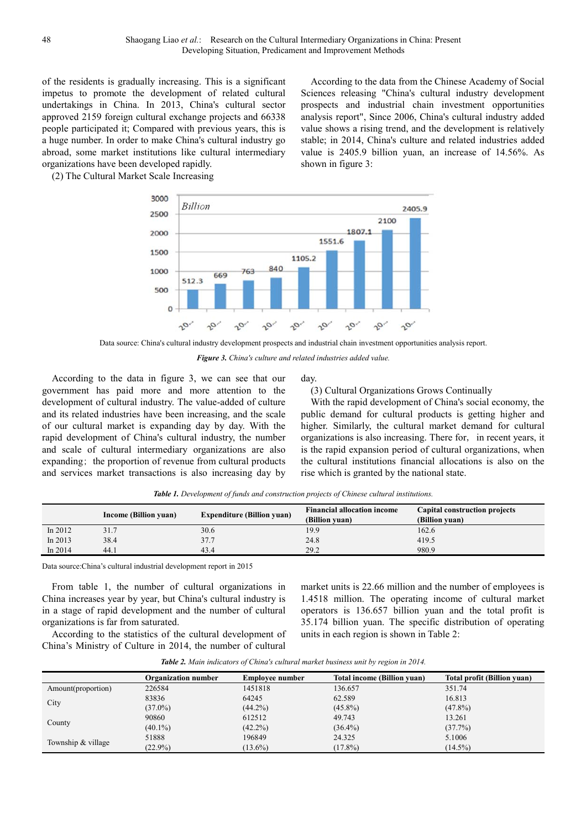of the residents is gradually increasing. This is a significant impetus to promote the development of related cultural undertakings in China. In 2013, China's cultural sector approved 2159 foreign cultural exchange projects and 66338 people participated it; Compared with previous years, this is a huge number. In order to make China's cultural industry go abroad, some market institutions like cultural intermediary organizations have been developed rapidly.

(2) The Cultural Market Scale Increasing



Data source: China's cultural industry development prospects and industrial chain investment opportunities analysis report.

day.

shown in figure 3:

*Figure 3. China's culture and related industries added value.* 

According to the data in figure 3, we can see that our government has paid more and more attention to the development of cultural industry. The value-added of culture and its related industries have been increasing, and the scale of our cultural market is expanding day by day. With the rapid development of China's cultural industry, the number and scale of cultural intermediary organizations are also expanding; the proportion of revenue from cultural products and services market transactions is also increasing day by

(3) Cultural Organizations Grows Continually

With the rapid development of China's social economy, the public demand for cultural products is getting higher and higher. Similarly, the cultural market demand for cultural organizations is also increasing. There for, in recent years, it is the rapid expansion period of cultural organizations, when the cultural institutions financial allocations is also on the rise which is granted by the national state.

According to the data from the Chinese Academy of Social Sciences releasing "China's cultural industry development prospects and industrial chain investment opportunities analysis report", Since 2006, China's cultural industry added value shows a rising trend, and the development is relatively stable; in 2014, China's culture and related industries added value is 2405.9 billion yuan, an increase of 14.56%. As

| <b>Table 1.</b> Development of funds and construction projects of Chinese cultural institutions. |  |
|--------------------------------------------------------------------------------------------------|--|
|--------------------------------------------------------------------------------------------------|--|

|           | Income (Billion yuan) | <b>Expenditure (Billion yuan)</b> | <b>Financial allocation income</b><br>(Billion vuan) | Capital construction projects<br>(Billion vuan) |
|-----------|-----------------------|-----------------------------------|------------------------------------------------------|-------------------------------------------------|
| In $2012$ | 31.7                  | 30.6                              | 19.9                                                 | 162.6                                           |
| In $2013$ | 38.4                  | 37.7                              | 24.8                                                 | 419.5                                           |
| In $2014$ | 44.1                  | 43.4                              | 29.2                                                 | 980.9                                           |

Data source:China's cultural industrial development report in 2015

From table 1, the number of cultural organizations in China increases year by year, but China's cultural industry is in a stage of rapid development and the number of cultural organizations is far from saturated.

According to the statistics of the cultural development of China's Ministry of Culture in 2014, the number of cultural

market units is 22.66 million and the number of employees is 1.4518 million. The operating income of cultural market operators is 136.657 billion yuan and the total profit is 35.174 billion yuan. The specific distribution of operating units in each region is shown in Table 2:

| Table 2. Main indicators of China's cultural market business unit by region in 2014. |  |  |  |
|--------------------------------------------------------------------------------------|--|--|--|
|--------------------------------------------------------------------------------------|--|--|--|

|                    | <b>Organization number</b> | <b>Employee number</b> | <b>Total income (Billion yuan)</b> | Total profit (Billion yuan) |
|--------------------|----------------------------|------------------------|------------------------------------|-----------------------------|
| Amount(proportion) | 226584                     | 1451818                | 136.657                            | 351.74                      |
|                    | 83836                      | 64245                  | 62.589                             | 16.813                      |
| City               | $(37.0\%)$                 | $(44.2\%)$             | $(45.8\%)$                         | $(47.8\%)$                  |
|                    | 90860                      | 612512                 | 49.743                             | 13.261                      |
| County             | $(40.1\%)$                 | $(42.2\%)$             | $(36.4\%)$                         | (37.7%)                     |
|                    | 51888                      | 196849                 | 24.325                             | 5.1006                      |
| Township & village | $(22.9\%)$                 | $(13.6\%)$             | $(17.8\%)$                         | $(14.5\%)$                  |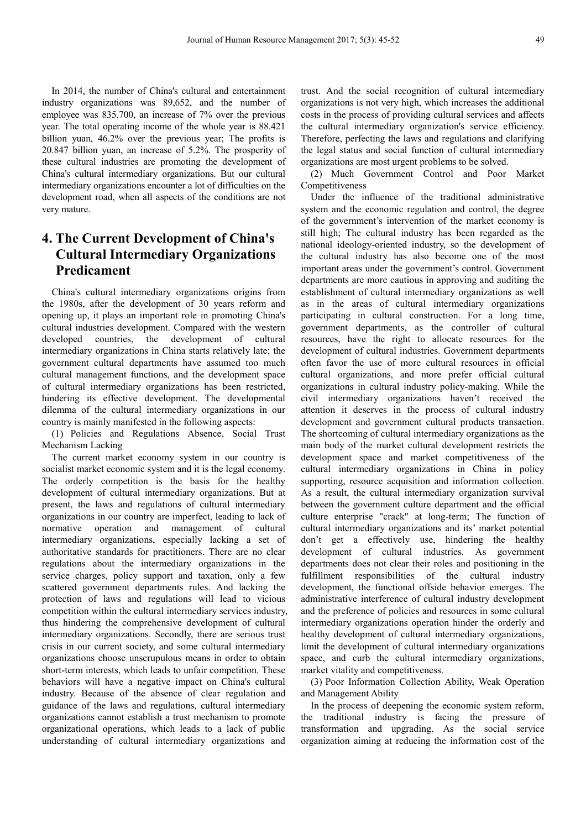In 2014, the number of China's cultural and entertainment industry organizations was 89,652, and the number of employee was 835,700, an increase of 7% over the previous year. The total operating income of the whole year is 88.421 billion yuan, 46.2% over the previous year; The profits is 20.847 billion yuan, an increase of 5.2%. The prosperity of these cultural industries are promoting the development of China's cultural intermediary organizations. But our cultural intermediary organizations encounter a lot of difficulties on the development road, when all aspects of the conditions are not very mature.

# **4. The Current Development of China's Cultural Intermediary Organizations Predicament**

China's cultural intermediary organizations origins from the 1980s, after the development of 30 years reform and opening up, it plays an important role in promoting China's cultural industries development. Compared with the western developed countries, the development of cultural intermediary organizations in China starts relatively late; the government cultural departments have assumed too much cultural management functions, and the development space of cultural intermediary organizations has been restricted, hindering its effective development. The developmental dilemma of the cultural intermediary organizations in our country is mainly manifested in the following aspects:

(1) Policies and Regulations Absence, Social Trust Mechanism Lacking

The current market economy system in our country is socialist market economic system and it is the legal economy. The orderly competition is the basis for the healthy development of cultural intermediary organizations. But at present, the laws and regulations of cultural intermediary organizations in our country are imperfect, leading to lack of normative operation and management of cultural intermediary organizations, especially lacking a set of authoritative standards for practitioners. There are no clear regulations about the intermediary organizations in the service charges, policy support and taxation, only a few scattered government departments rules. And lacking the protection of laws and regulations will lead to vicious competition within the cultural intermediary services industry, thus hindering the comprehensive development of cultural intermediary organizations. Secondly, there are serious trust crisis in our current society, and some cultural intermediary organizations choose unscrupulous means in order to obtain short-term interests, which leads to unfair competition. These behaviors will have a negative impact on China's cultural industry. Because of the absence of clear regulation and guidance of the laws and regulations, cultural intermediary organizations cannot establish a trust mechanism to promote organizational operations, which leads to a lack of public understanding of cultural intermediary organizations and

trust. And the social recognition of cultural intermediary organizations is not very high, which increases the additional costs in the process of providing cultural services and affects the cultural intermediary organization's service efficiency. Therefore, perfecting the laws and regulations and clarifying the legal status and social function of cultural intermediary organizations are most urgent problems to be solved.

(2) Much Government Control and Poor Market Competitiveness

Under the influence of the traditional administrative system and the economic regulation and control, the degree of the government's intervention of the market economy is still high; The cultural industry has been regarded as the national ideology-oriented industry, so the development of the cultural industry has also become one of the most important areas under the government's control. Government departments are more cautious in approving and auditing the establishment of cultural intermediary organizations as well as in the areas of cultural intermediary organizations participating in cultural construction. For a long time, government departments, as the controller of cultural resources, have the right to allocate resources for the development of cultural industries. Government departments often favor the use of more cultural resources in official cultural organizations, and more prefer official cultural organizations in cultural industry policy-making. While the civil intermediary organizations haven't received the attention it deserves in the process of cultural industry development and government cultural products transaction. The shortcoming of cultural intermediary organizations as the main body of the market cultural development restricts the development space and market competitiveness of the cultural intermediary organizations in China in policy supporting, resource acquisition and information collection. As a result, the cultural intermediary organization survival between the government culture department and the official culture enterprise "crack" at long-term; The function of cultural intermediary organizations and its' market potential don't get a effectively use, hindering the healthy development of cultural industries. As government departments does not clear their roles and positioning in the fulfillment responsibilities of the cultural industry development, the functional offside behavior emerges. The administrative interference of cultural industry development and the preference of policies and resources in some cultural intermediary organizations operation hinder the orderly and healthy development of cultural intermediary organizations, limit the development of cultural intermediary organizations space, and curb the cultural intermediary organizations, market vitality and competitiveness.

(3) Poor Information Collection Ability, Weak Operation and Management Ability

In the process of deepening the economic system reform, the traditional industry is facing the pressure of transformation and upgrading. As the social service organization aiming at reducing the information cost of the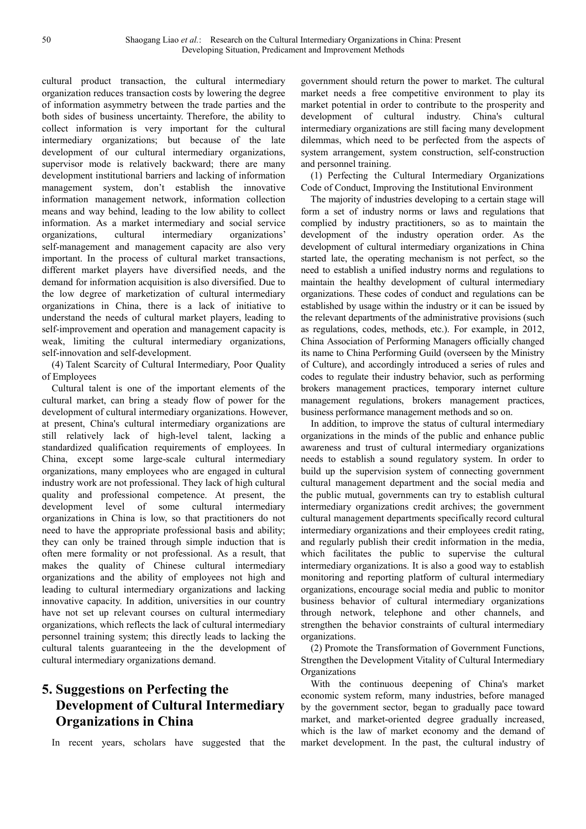cultural product transaction, the cultural intermediary organization reduces transaction costs by lowering the degree of information asymmetry between the trade parties and the both sides of business uncertainty. Therefore, the ability to collect information is very important for the cultural intermediary organizations; but because of the late development of our cultural intermediary organizations, supervisor mode is relatively backward; there are many development institutional barriers and lacking of information management system, don't establish the innovative information management network, information collection means and way behind, leading to the low ability to collect information. As a market intermediary and social service organizations, cultural intermediary organizations' self-management and management capacity are also very important. In the process of cultural market transactions, different market players have diversified needs, and the demand for information acquisition is also diversified. Due to the low degree of marketization of cultural intermediary organizations in China, there is a lack of initiative to understand the needs of cultural market players, leading to self-improvement and operation and management capacity is weak, limiting the cultural intermediary organizations, self-innovation and self-development.

(4) Talent Scarcity of Cultural Intermediary, Poor Quality of Employees

Cultural talent is one of the important elements of the cultural market, can bring a steady flow of power for the development of cultural intermediary organizations. However, at present, China's cultural intermediary organizations are still relatively lack of high-level talent, lacking a standardized qualification requirements of employees. In China, except some large-scale cultural intermediary organizations, many employees who are engaged in cultural industry work are not professional. They lack of high cultural quality and professional competence. At present, the development level of some cultural intermediary organizations in China is low, so that practitioners do not need to have the appropriate professional basis and ability; they can only be trained through simple induction that is often mere formality or not professional. As a result, that makes the quality of Chinese cultural intermediary organizations and the ability of employees not high and leading to cultural intermediary organizations and lacking innovative capacity. In addition, universities in our country have not set up relevant courses on cultural intermediary organizations, which reflects the lack of cultural intermediary personnel training system; this directly leads to lacking the cultural talents guaranteeing in the the development of cultural intermediary organizations demand.

# **5. Suggestions on Perfecting the Development of Cultural Intermediary Organizations in China**

In recent years, scholars have suggested that the

government should return the power to market. The cultural market needs a free competitive environment to play its market potential in order to contribute to the prosperity and development of cultural industry. China's cultural intermediary organizations are still facing many development dilemmas, which need to be perfected from the aspects of system arrangement, system construction, self-construction and personnel training.

(1) Perfecting the Cultural Intermediary Organizations Code of Conduct, Improving the Institutional Environment

The majority of industries developing to a certain stage will form a set of industry norms or laws and regulations that complied by industry practitioners, so as to maintain the development of the industry operation order. As the development of cultural intermediary organizations in China started late, the operating mechanism is not perfect, so the need to establish a unified industry norms and regulations to maintain the healthy development of cultural intermediary organizations. These codes of conduct and regulations can be established by usage within the industry or it can be issued by the relevant departments of the administrative provisions (such as regulations, codes, methods, etc.). For example, in 2012, China Association of Performing Managers officially changed its name to China Performing Guild (overseen by the Ministry of Culture), and accordingly introduced a series of rules and codes to regulate their industry behavior, such as performing brokers management practices, temporary internet culture management regulations, brokers management practices, business performance management methods and so on.

In addition, to improve the status of cultural intermediary organizations in the minds of the public and enhance public awareness and trust of cultural intermediary organizations needs to establish a sound regulatory system. In order to build up the supervision system of connecting government cultural management department and the social media and the public mutual, governments can try to establish cultural intermediary organizations credit archives; the government cultural management departments specifically record cultural intermediary organizations and their employees credit rating, and regularly publish their credit information in the media, which facilitates the public to supervise the cultural intermediary organizations. It is also a good way to establish monitoring and reporting platform of cultural intermediary organizations, encourage social media and public to monitor business behavior of cultural intermediary organizations through network, telephone and other channels, and strengthen the behavior constraints of cultural intermediary organizations.

(2) Promote the Transformation of Government Functions, Strengthen the Development Vitality of Cultural Intermediary Organizations

With the continuous deepening of China's market economic system reform, many industries, before managed by the government sector, began to gradually pace toward market, and market-oriented degree gradually increased, which is the law of market economy and the demand of market development. In the past, the cultural industry of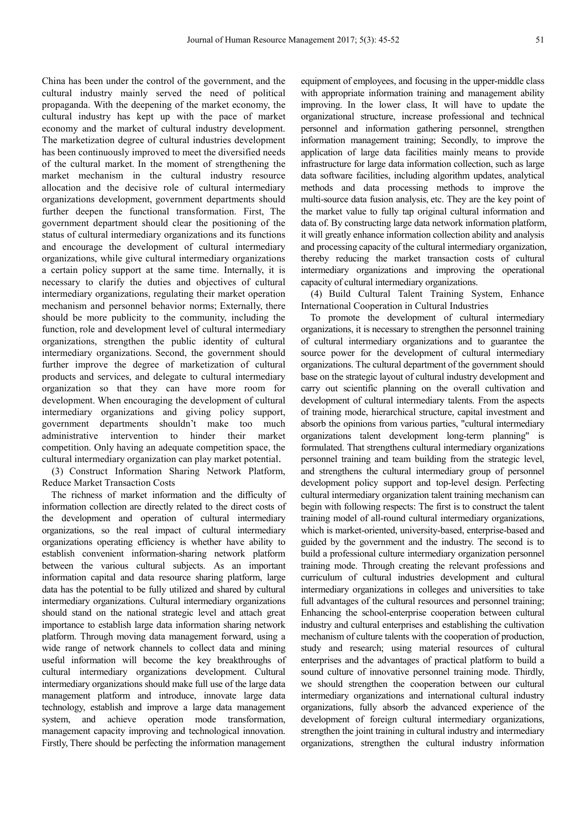China has been under the control of the government, and the cultural industry mainly served the need of political propaganda. With the deepening of the market economy, the cultural industry has kept up with the pace of market economy and the market of cultural industry development. The marketization degree of cultural industries development has been continuously improved to meet the diversified needs of the cultural market. In the moment of strengthening the market mechanism in the cultural industry resource allocation and the decisive role of cultural intermediary organizations development, government departments should further deepen the functional transformation. First, The government department should clear the positioning of the status of cultural intermediary organizations and its functions and encourage the development of cultural intermediary organizations, while give cultural intermediary organizations a certain policy support at the same time. Internally, it is necessary to clarify the duties and objectives of cultural intermediary organizations, regulating their market operation mechanism and personnel behavior norms; Externally, there should be more publicity to the community, including the function, role and development level of cultural intermediary organizations, strengthen the public identity of cultural intermediary organizations. Second, the government should further improve the degree of marketization of cultural products and services, and delegate to cultural intermediary organization so that they can have more room for development. When encouraging the development of cultural intermediary organizations and giving policy support, government departments shouldn't make too much administrative intervention to hinder their market competition. Only having an adequate competition space, the cultural intermediary organization can play market potential.

(3) Construct Information Sharing Network Platform, Reduce Market Transaction Costs

The richness of market information and the difficulty of information collection are directly related to the direct costs of the development and operation of cultural intermediary organizations, so the real impact of cultural intermediary organizations operating efficiency is whether have ability to establish convenient information-sharing network platform between the various cultural subjects. As an important information capital and data resource sharing platform, large data has the potential to be fully utilized and shared by cultural intermediary organizations. Cultural intermediary organizations should stand on the national strategic level and attach great importance to establish large data information sharing network platform. Through moving data management forward, using a wide range of network channels to collect data and mining useful information will become the key breakthroughs of cultural intermediary organizations development. Cultural intermediary organizations should make full use of the large data management platform and introduce, innovate large data technology, establish and improve a large data management system, and achieve operation mode transformation, management capacity improving and technological innovation. Firstly, There should be perfecting the information management equipment of employees, and focusing in the upper-middle class with appropriate information training and management ability improving. In the lower class, It will have to update the organizational structure, increase professional and technical personnel and information gathering personnel, strengthen information management training; Secondly, to improve the application of large data facilities mainly means to provide infrastructure for large data information collection, such as large data software facilities, including algorithm updates, analytical methods and data processing methods to improve the multi-source data fusion analysis, etc. They are the key point of the market value to fully tap original cultural information and data of. By constructing large data network information platform, it will greatly enhance information collection ability and analysis and processing capacity of the cultural intermediary organization, thereby reducing the market transaction costs of cultural intermediary organizations and improving the operational capacity of cultural intermediary organizations.

(4) Build Cultural Talent Training System, Enhance International Cooperation in Cultural Industries

To promote the development of cultural intermediary organizations, it is necessary to strengthen the personnel training of cultural intermediary organizations and to guarantee the source power for the development of cultural intermediary organizations. The cultural department of the government should base on the strategic layout of cultural industry development and carry out scientific planning on the overall cultivation and development of cultural intermediary talents. From the aspects of training mode, hierarchical structure, capital investment and absorb the opinions from various parties, "cultural intermediary organizations talent development long-term planning" is formulated. That strengthens cultural intermediary organizations personnel training and team building from the strategic level, and strengthens the cultural intermediary group of personnel development policy support and top-level design. Perfecting cultural intermediary organization talent training mechanism can begin with following respects: The first is to construct the talent training model of all-round cultural intermediary organizations, which is market-oriented, university-based, enterprise-based and guided by the government and the industry. The second is to build a professional culture intermediary organization personnel training mode. Through creating the relevant professions and curriculum of cultural industries development and cultural intermediary organizations in colleges and universities to take full advantages of the cultural resources and personnel training; Enhancing the school-enterprise cooperation between cultural industry and cultural enterprises and establishing the cultivation mechanism of culture talents with the cooperation of production, study and research; using material resources of cultural enterprises and the advantages of practical platform to build a sound culture of innovative personnel training mode. Thirdly, we should strengthen the cooperation between our cultural intermediary organizations and international cultural industry organizations, fully absorb the advanced experience of the development of foreign cultural intermediary organizations, strengthen the joint training in cultural industry and intermediary organizations, strengthen the cultural industry information